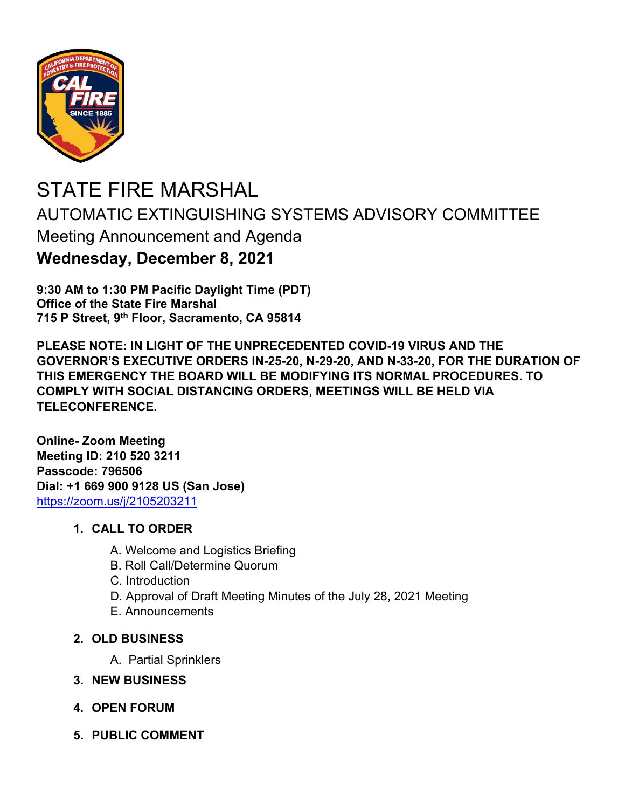

## STATE FIRE MARSHAL AUTOMATIC EXTINGUISHING SYSTEMS ADVISORY COMMITTEE Meeting Announcement and Agenda **Wednesday, December 8, 2021**

**9:30 AM to 1:30 PM Pacific Daylight Time (PDT) Office of the State Fire Marshal 715 P Street, 9th Floor, Sacramento, CA 95814** 

**PLEASE NOTE: IN LIGHT OF THE UNPRECEDENTED COVID-19 VIRUS AND THE GOVERNOR'S EXECUTIVE ORDERS IN-25-20, N-29-20, AND N-33-20, FOR THE DURATION OF THIS EMERGENCY THE BOARD WILL BE MODIFYING ITS NORMAL PROCEDURES. TO COMPLY WITH SOCIAL DISTANCING ORDERS, MEETINGS WILL BE HELD VIA TELECONFERENCE.** 

**Online- Zoom Meeting Meeting ID: 210 520 3211 Passcode: 796506 Dial: +1 669 900 9128 US (San Jose)**  https://zoom.us/j/2105203211

## **1. CALL TO ORDER**

- A. Welcome and Logistics Briefing
- B. Roll Call/Determine Quorum
- C. Introduction
- D. Approval of Draft Meeting Minutes of the July 28, 2021 Meeting
- E. Announcements
- **2. OLD BUSINESS** 
	- A. Partial Sprinklers
- **3. NEW BUSINESS**
- **4. OPEN FORUM**
- **5. PUBLIC COMMENT**